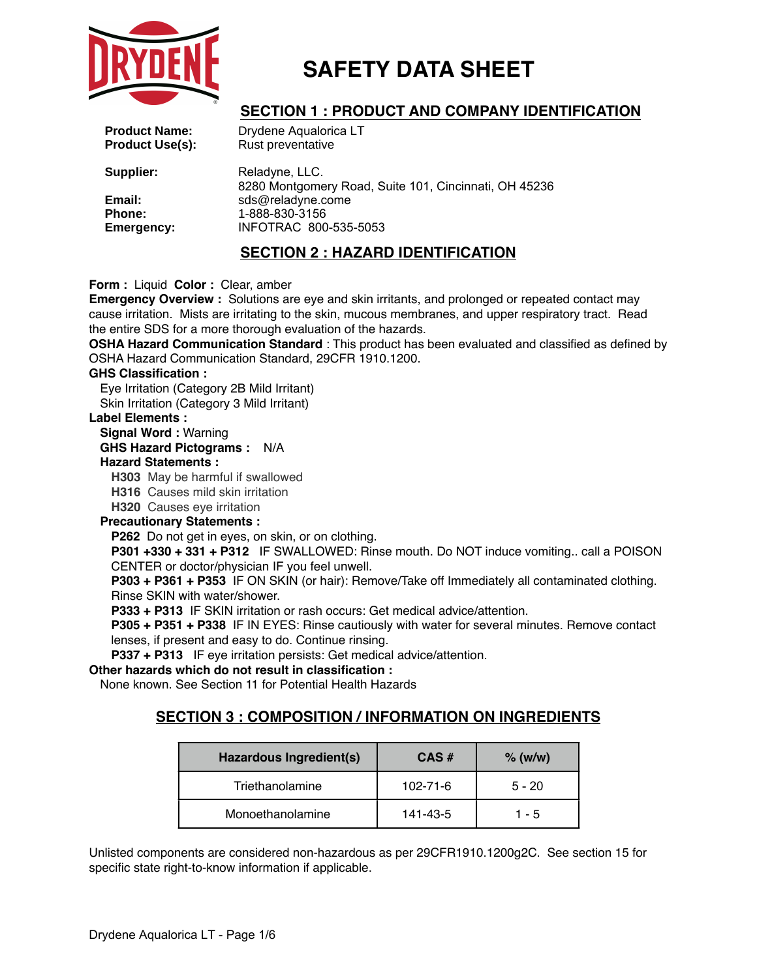

## **SECTION 1 : PRODUCT AND COMPANY IDENTIFICATION**

| <b>Product Name:</b><br><b>Product Use(s):</b> | Drydene Aqualorica LT<br>Rust preventative                              |
|------------------------------------------------|-------------------------------------------------------------------------|
| Supplier:                                      | Reladyne, LLC.<br>8280 Montgomery Road, Suite 101, Cincinnati, OH 45236 |
| Email:                                         | sds@reladyne.come                                                       |
| <b>Phone:</b><br>Emergency:                    | 1-888-830-3156<br>INFOTRAC 800-535-5053                                 |
|                                                | <b>SECTION 2 : HAZARD IDENTIFICATION</b>                                |

**Form :** Liquid **Color :** Clear, amber

**Emergency Overview :** Solutions are eye and skin irritants, and prolonged or repeated contact may cause irritation. Mists are irritating to the skin, mucous membranes, and upper respiratory tract. Read the entire SDS for a more thorough evaluation of the hazards.

**OSHA Hazard Communication Standard** : This product has been evaluated and classified as defined by OSHA Hazard Communication Standard, 29CFR 1910.1200.

### **GHS Classification :**

Eye Irritation (Category 2B Mild Irritant) Skin Irritation (Category 3 Mild Irritant)

#### **Label Elements :**

#### **Signal Word :** Warning

**GHS Hazard Pictograms :** N/A

#### **Hazard Statements :**

**H303** May be harmful if swallowed

**H316** Causes mild skin irritation

**H320** Causes eye irritation

#### **Precautionary Statements :**

**P262** Do not get in eyes, on skin, or on clothing.

**P301 +330 + 331 + P312** IF SWALLOWED: Rinse mouth. Do NOT induce vomiting.. call a POISON CENTER or doctor/physician IF you feel unwell.

**P303 + P361 + P353** IF ON SKIN (or hair): Remove/Take off Immediately all contaminated clothing. Rinse SKIN with water/shower.

**P333 + P313** IF SKIN irritation or rash occurs: Get medical advice/attention.

**P305 + P351 + P338** IF IN EYES: Rinse cautiously with water for several minutes. Remove contact lenses, if present and easy to do. Continue rinsing.

**P337 + P313** IF eye irritation persists: Get medical advice/attention.

### **Other hazards which do not result in classification :**

None known. See Section 11 for Potential Health Hazards

## **SECTION 3 : COMPOSITION / INFORMATION ON INGREDIENTS**

| Hazardous Ingredient(s) | $CAS \#$       | $%$ (w/w) |
|-------------------------|----------------|-----------|
| Triethanolamine         | $102 - 71 - 6$ | $5 - 20$  |
| Monoethanolamine        | 141-43-5       | 1 - 5     |

Unlisted components are considered non-hazardous as per 29CFR1910.1200g2C. See section 15 for specific state right-to-know information if applicable.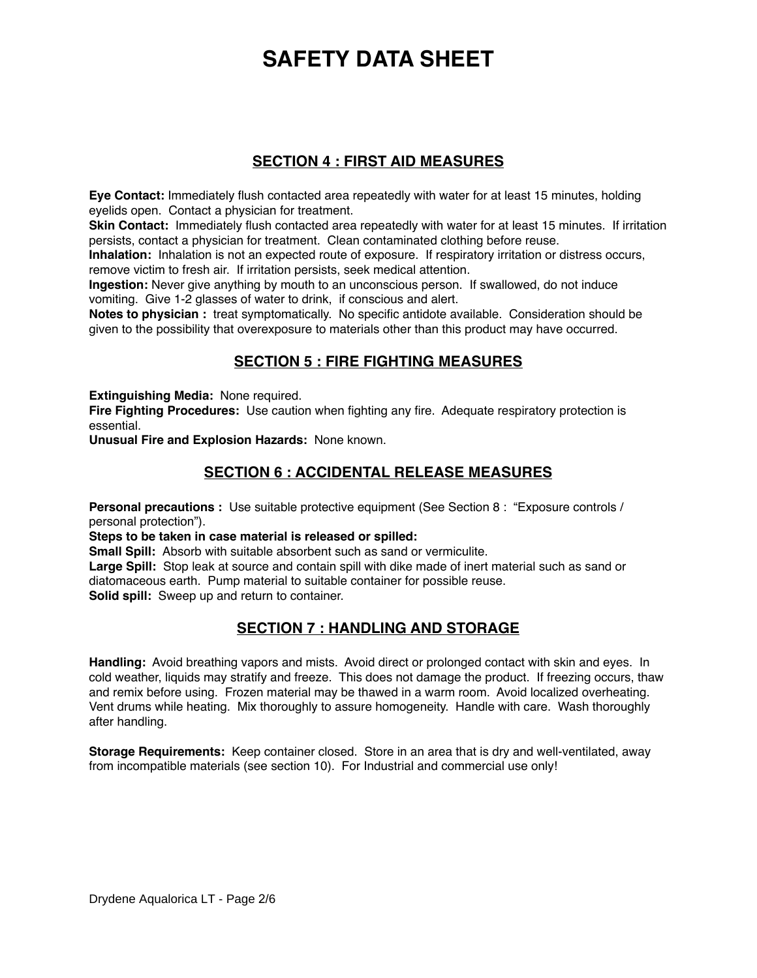## **SECTION 4 : FIRST AID MEASURES**

**Eye Contact:** Immediately flush contacted area repeatedly with water for at least 15 minutes, holding eyelids open. Contact a physician for treatment.

**Skin Contact:** Immediately flush contacted area repeatedly with water for at least 15 minutes. If irritation persists, contact a physician for treatment. Clean contaminated clothing before reuse.

**Inhalation:** Inhalation is not an expected route of exposure. If respiratory irritation or distress occurs, remove victim to fresh air. If irritation persists, seek medical attention.

**Ingestion:** Never give anything by mouth to an unconscious person. If swallowed, do not induce vomiting. Give 1-2 glasses of water to drink, if conscious and alert.

**Notes to physician :** treat symptomatically. No specific antidote available. Consideration should be given to the possibility that overexposure to materials other than this product may have occurred.

## **SECTION 5 : FIRE FIGHTING MEASURES**

**Extinguishing Media:** None required.

**Fire Fighting Procedures:** Use caution when fighting any fire. Adequate respiratory protection is essential.

**Unusual Fire and Explosion Hazards:** None known.

## **SECTION 6 : ACCIDENTAL RELEASE MEASURES**

**Personal precautions :** Use suitable protective equipment (See Section 8 : "Exposure controls / personal protection").

#### **Steps to be taken in case material is released or spilled:**

**Small Spill:** Absorb with suitable absorbent such as sand or vermiculite.

**Large Spill:** Stop leak at source and contain spill with dike made of inert material such as sand or diatomaceous earth. Pump material to suitable container for possible reuse. **Solid spill:** Sweep up and return to container.

## **SECTION 7 : HANDLING AND STORAGE**

**Handling:** Avoid breathing vapors and mists. Avoid direct or prolonged contact with skin and eyes. In cold weather, liquids may stratify and freeze. This does not damage the product. If freezing occurs, thaw and remix before using. Frozen material may be thawed in a warm room. Avoid localized overheating. Vent drums while heating. Mix thoroughly to assure homogeneity. Handle with care. Wash thoroughly after handling.

**Storage Requirements:** Keep container closed. Store in an area that is dry and well-ventilated, away from incompatible materials (see section 10). For Industrial and commercial use only!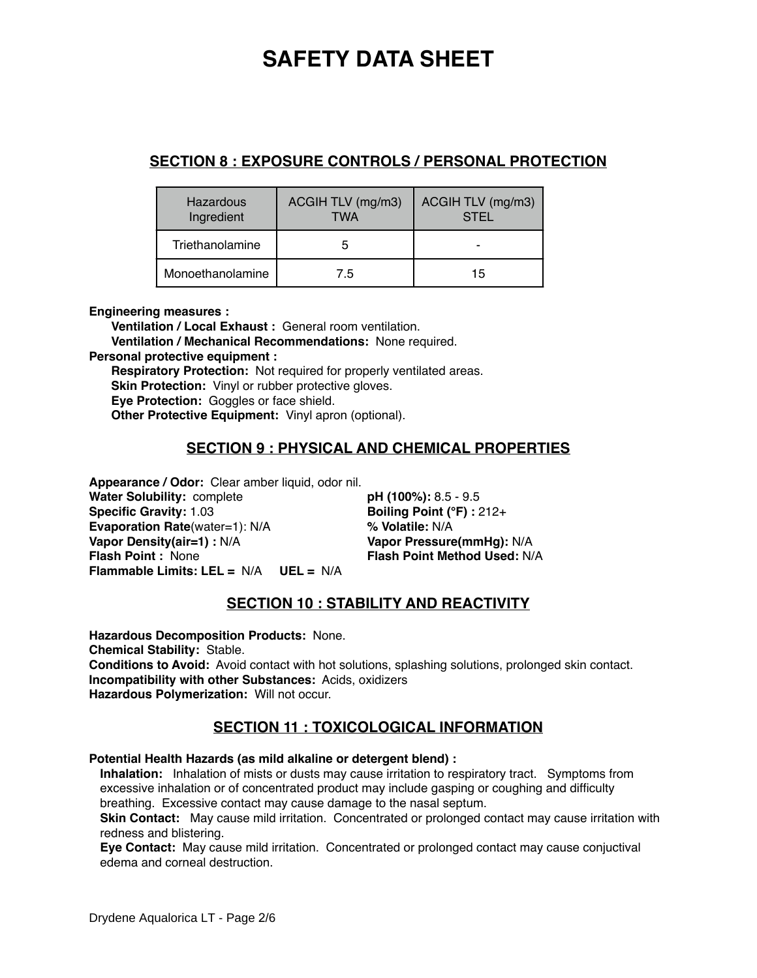## **SECTION 8 : EXPOSURE CONTROLS / PERSONAL PROTECTION**

| Hazardous<br>Ingredient | ACGIH TLV (mg/m3)<br><b>TWA</b> | ACGIH TLV (mg/m3)<br><b>STEL</b> |
|-------------------------|---------------------------------|----------------------------------|
| Triethanolamine         |                                 |                                  |
| Monoethanolamine        | 7.5                             | 15                               |

**Engineering measures :**

**Ventilation / Local Exhaust :** General room ventilation. **Ventilation / Mechanical Recommendations:** None required. **Personal protective equipment : Respiratory Protection:** Not required for properly ventilated areas. **Skin Protection:** Vinyl or rubber protective gloves. **Eye Protection:** Goggles or face shield. **Other Protective Equipment:** Vinyl apron (optional).

## **SECTION 9 : PHYSICAL AND CHEMICAL PROPERTIES**

**Appearance / Odor:** Clear amber liquid, odor nil. **Water Solubility:** complete **pH (100%):** 8.5 - 9.5<br> **Specific Gravity:** 1.03 **Boiling Point (°F):** 2 **Evaporation Rate**(water=1): N/A **% Volatile:** N/A **Vapor Density(air=1) :** N/A **Vapor Pressure(mmHg):** N/A **Flash Point :** None **Flash Point Method Used:** N/A **Flammable Limits: LEL =** N/A **UEL =** N/A

**Boiling Point (°F) : 212+** 

## **SECTION 10 : STABILITY AND REACTIVITY**

**Hazardous Decomposition Products:** None. **Chemical Stability:** Stable. **Conditions to Avoid:** Avoid contact with hot solutions, splashing solutions, prolonged skin contact. **Incompatibility with other Substances:** Acids, oxidizers **Hazardous Polymerization:** Will not occur.

## **SECTION 11 : TOXICOLOGICAL INFORMATION**

### **Potential Health Hazards (as mild alkaline or detergent blend) :**

**Inhalation:** Inhalation of mists or dusts may cause irritation to respiratory tract. Symptoms from excessive inhalation or of concentrated product may include gasping or coughing and difficulty breathing. Excessive contact may cause damage to the nasal septum.

**Skin Contact:** May cause mild irritation. Concentrated or prolonged contact may cause irritation with redness and blistering.

**Eye Contact:** May cause mild irritation. Concentrated or prolonged contact may cause conjuctival edema and corneal destruction.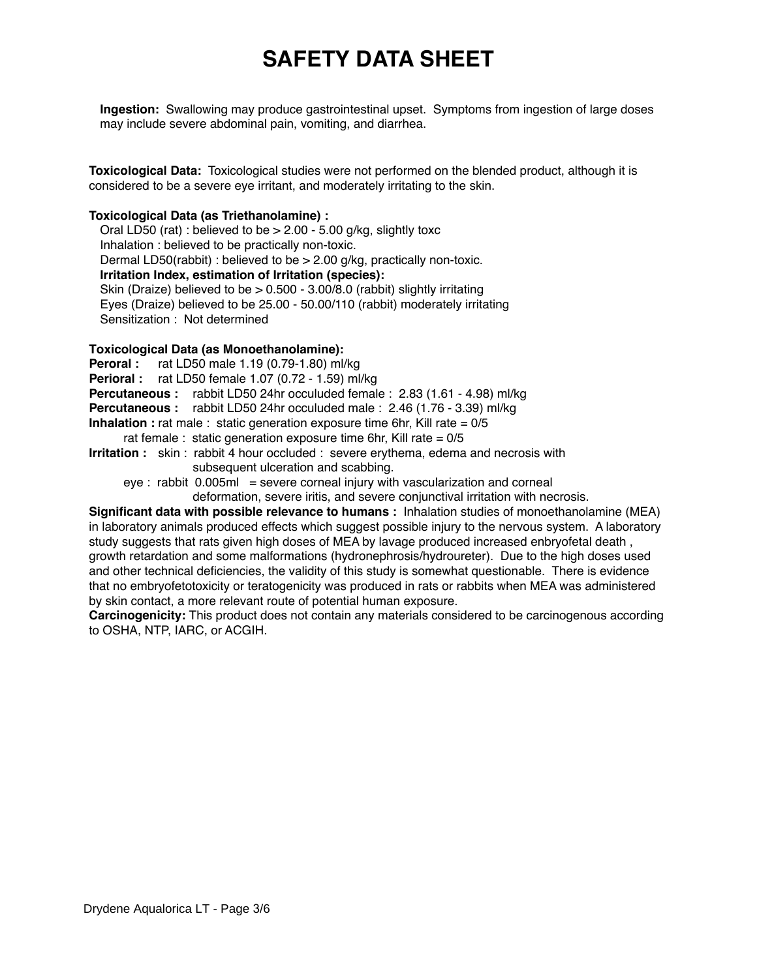**Ingestion:** Swallowing may produce gastrointestinal upset. Symptoms from ingestion of large doses may include severe abdominal pain, vomiting, and diarrhea.

**Toxicological Data:** Toxicological studies were not performed on the blended product, although it is considered to be a severe eye irritant, and moderately irritating to the skin.

### **Toxicological Data (as Triethanolamine) :**

Oral LD50 (rat) : believed to be  $> 2.00$  - 5.00 g/kg, slightly toxc Inhalation : believed to be practically non-toxic. Dermal LD50(rabbit) : believed to be > 2.00 g/kg, practically non-toxic. **Irritation Index, estimation of Irritation (species):** Skin (Draize) believed to be > 0.500 - 3.00/8.0 (rabbit) slightly irritating Eyes (Draize) believed to be 25.00 - 50.00/110 (rabbit) moderately irritating Sensitization : Not determined

### **Toxicological Data (as Monoethanolamine):**

**Peroral :** rat LD50 male 1.19 (0.79-1.80) ml/kg **Perioral :** rat LD50 female 1.07 (0.72 - 1.59) ml/kg **Percutaneous :** rabbit LD50 24hr occuluded female : 2.83 (1.61 - 4.98) ml/kg **Percutaneous :** rabbit LD50 24hr occuluded male : 2.46 (1.76 - 3.39) ml/kg **Inhalation :** rat male : static generation exposure time 6hr, Kill rate = 0/5 rat female : static generation exposure time 6hr, Kill rate  $= 0/5$ **Irritation :** skin : rabbit 4 hour occluded : severe erythema, edema and necrosis with subsequent ulceration and scabbing.  $eve:$  rabbit 0.005ml = severe corneal injury with vascularization and corneal deformation, severe iritis, and severe conjunctival irritation with necrosis. **Significant data with possible relevance to humans :** Inhalation studies of monoethanolamine (MEA)

in laboratory animals produced effects which suggest possible injury to the nervous system. A laboratory study suggests that rats given high doses of MEA by lavage produced increased enbryofetal death , growth retardation and some malformations (hydronephrosis/hydroureter). Due to the high doses used and other technical deficiencies, the validity of this study is somewhat questionable. There is evidence that no embryofetotoxicity or teratogenicity was produced in rats or rabbits when MEA was administered by skin contact, a more relevant route of potential human exposure.

**Carcinogenicity:** This product does not contain any materials considered to be carcinogenous according to OSHA, NTP, IARC, or ACGIH.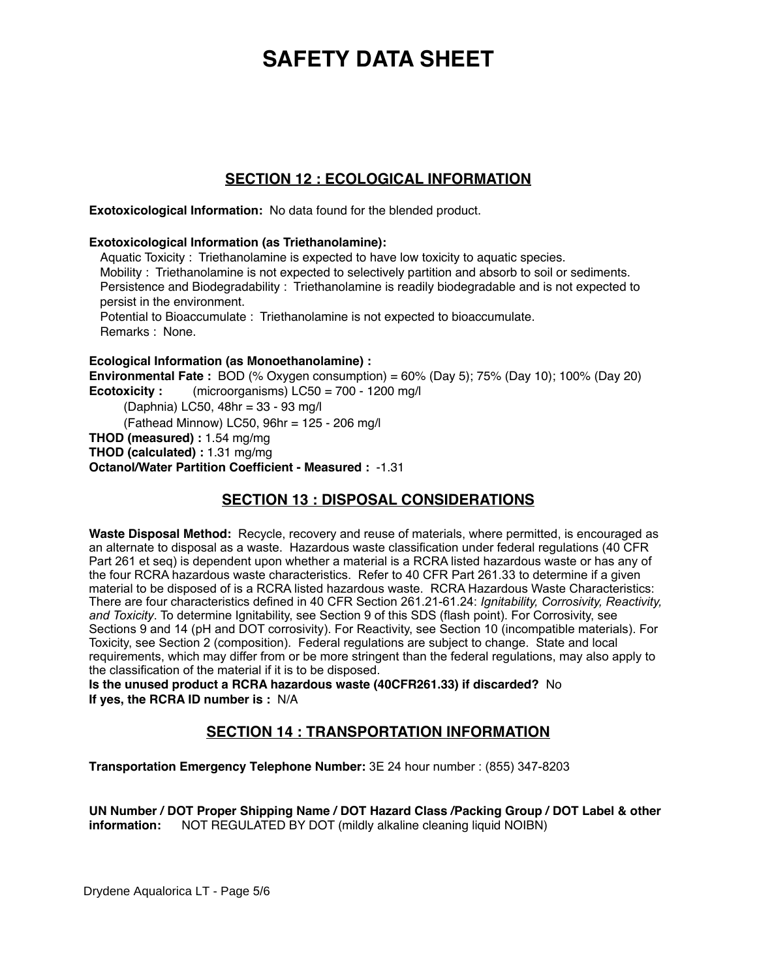## **SECTION 12 : ECOLOGICAL INFORMATION**

**Exotoxicological Information:** No data found for the blended product.

**Exotoxicological Information (as Triethanolamine):**

Aquatic Toxicity : Triethanolamine is expected to have low toxicity to aquatic species. Mobility : Triethanolamine is not expected to selectively partition and absorb to soil or sediments. Persistence and Biodegradability : Triethanolamine is readily biodegradable and is not expected to persist in the environment. Potential to Bioaccumulate : Triethanolamine is not expected to bioaccumulate. Remarks : None.

### **Ecological Information (as Monoethanolamine) :**

**Environmental Fate :** BOD (% Oxygen consumption) = 60% (Day 5); 75% (Day 10); 100% (Day 20) **Ecotoxicity :** (microorganisms) LC50 = 700 - 1200 mg/l

(Daphnia) LC50, 48hr = 33 - 93 mg/l (Fathead Minnow) LC50, 96hr = 125 - 206 mg/l **THOD (measured) :** 1.54 mg/mg **THOD (calculated) :** 1.31 mg/mg **Octanol/Water Partition Coefficient - Measured :** -1.31

## **SECTION 13 : DISPOSAL CONSIDERATIONS**

**Waste Disposal Method:** Recycle, recovery and reuse of materials, where permitted, is encouraged as an alternate to disposal as a waste. Hazardous waste classification under federal regulations (40 CFR Part 261 et seq) is dependent upon whether a material is a RCRA listed hazardous waste or has any of the four RCRA hazardous waste characteristics. Refer to 40 CFR Part 261.33 to determine if a given material to be disposed of is a RCRA listed hazardous waste. RCRA Hazardous Waste Characteristics: There are four characteristics defined in 40 CFR Section 261.21-61.24: *Ignitability, Corrosivity, Reactivity, and Toxicity*. To determine Ignitability, see Section 9 of this SDS (flash point). For Corrosivity, see Sections 9 and 14 (pH and DOT corrosivity). For Reactivity, see Section 10 (incompatible materials). For Toxicity, see Section 2 (composition). Federal regulations are subject to change. State and local requirements, which may differ from or be more stringent than the federal regulations, may also apply to the classification of the material if it is to be disposed.

**Is the unused product a RCRA hazardous waste (40CFR261.33) if discarded?** No **If yes, the RCRA ID number is :** N/A

## **SECTION 14 : TRANSPORTATION INFORMATION**

**Transportation Emergency Telephone Number:** 3E 24 hour number : (855) 347-8203

**UN Number / DOT Proper Shipping Name / DOT Hazard Class /Packing Group / DOT Label & other information:** NOT REGULATED BY DOT (mildly alkaline cleaning liquid NOIBN)